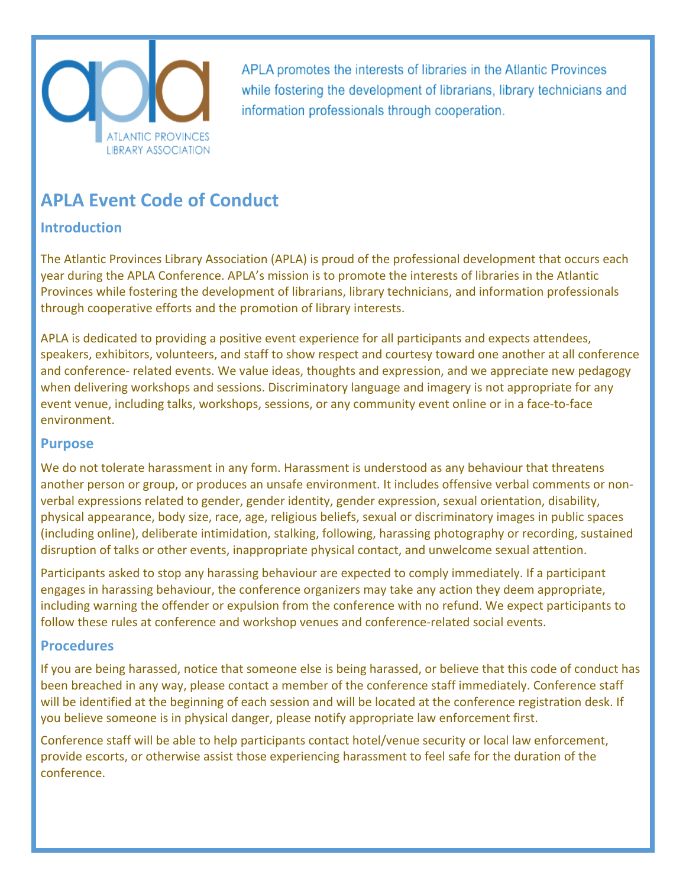

APLA promotes the interests of libraries in the Atlantic Provinces while fostering the development of librarians, library technicians and information professionals through cooperation.

# **APLA Event Code of Conduct**

## **Introduction**

The Atlantic Provinces Library Association (APLA) is proud of the professional development that occurs each year during the APLA Conference. APLA's mission is to promote the interests of libraries in the Atlantic Provinces while fostering the development of librarians, library technicians, and information professionals through cooperative efforts and the promotion of library interests.

APLA is dedicated to providing a positive event experience for all participants and expects attendees, speakers, exhibitors, volunteers, and staff to show respect and courtesy toward one another at all conference and conference- related events. We value ideas, thoughts and expression, and we appreciate new pedagogy when delivering workshops and sessions. Discriminatory language and imagery is not appropriate for any event venue, including talks, workshops, sessions, or any community event online or in a face-to-face environment.

#### **Purpose**

We do not tolerate harassment in any form. Harassment is understood as any behaviour that threatens another person or group, or produces an unsafe environment. It includes offensive verbal comments or nonverbal expressions related to gender, gender identity, gender expression, sexual orientation, disability, physical appearance, body size, race, age, religious beliefs, sexual or discriminatory images in public spaces (including online), deliberate intimidation, stalking, following, harassing photography or recording, sustained disruption of talks or other events, inappropriate physical contact, and unwelcome sexual attention.

Participants asked to stop any harassing behaviour are expected to comply immediately. If a participant engages in harassing behaviour, the conference organizers may take any action they deem appropriate, including warning the offender or expulsion from the conference with no refund. We expect participants to follow these rules at conference and workshop venues and conference-related social events.

### **Procedures**

If you are being harassed, notice that someone else is being harassed, or believe that this code of conduct has been breached in any way, please contact a member of the conference staff immediately. Conference staff will be identified at the beginning of each session and will be located at the conference registration desk. If you believe someone is in physical danger, please notify appropriate law enforcement first.

Conference staff will be able to help participants contact hotel/venue security or local law enforcement, provide escorts, or otherwise assist those experiencing harassment to feel safe for the duration of the conference.